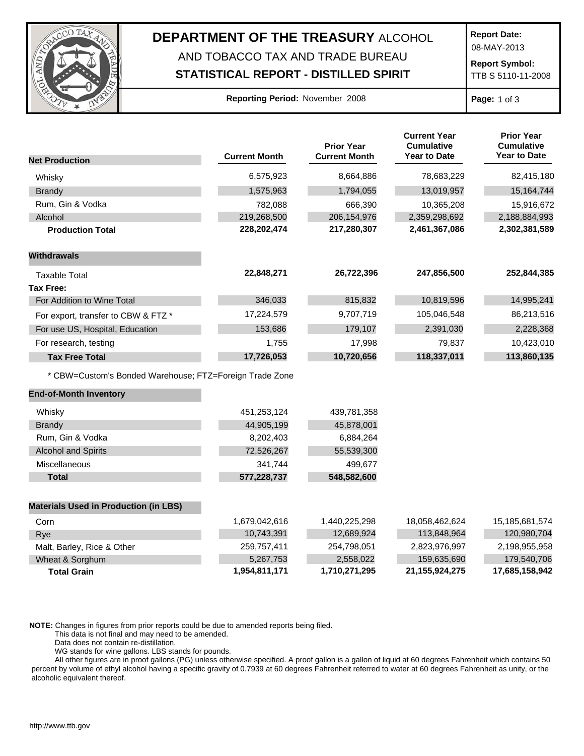

## **DEPARTMENT OF THE TREASURY** ALCOHOL AND TOBACCO TAX AND TRADE BUREAU

## **STATISTICAL REPORT - DISTILLED SPIRIT**

**Report Date:**

08-MAY-2013

**Report Symbol:** TTB S 5110-11-2008

## **Reporting Period:** November 2008 **Page:** 1 of 3

| <b>Net Production</b>                                   | <b>Current Month</b> | <b>Prior Year</b><br><b>Current Month</b> | <b>Current Year</b><br><b>Cumulative</b><br><b>Year to Date</b> | <b>Prior Year</b><br><b>Cumulative</b><br><b>Year to Date</b> |
|---------------------------------------------------------|----------------------|-------------------------------------------|-----------------------------------------------------------------|---------------------------------------------------------------|
|                                                         |                      |                                           |                                                                 |                                                               |
| Whisky                                                  | 6,575,923            | 8,664,886                                 | 78,683,229                                                      | 82,415,180                                                    |
| Brandy                                                  | 1,575,963            | 1,794,055                                 | 13,019,957                                                      | 15,164,744                                                    |
| Rum, Gin & Vodka                                        | 782,088              | 666,390                                   | 10,365,208                                                      | 15,916,672                                                    |
| Alcohol                                                 | 219,268,500          | 206, 154, 976                             | 2,359,298,692                                                   | 2,188,884,993                                                 |
| <b>Production Total</b>                                 | 228,202,474          | 217,280,307                               | 2,461,367,086                                                   | 2,302,381,589                                                 |
| <b>Withdrawals</b>                                      |                      |                                           |                                                                 |                                                               |
| <b>Taxable Total</b>                                    | 22,848,271           | 26,722,396                                | 247,856,500                                                     | 252,844,385                                                   |
| <b>Tax Free:</b>                                        |                      |                                           |                                                                 |                                                               |
| For Addition to Wine Total                              | 346,033              | 815,832                                   | 10,819,596                                                      | 14,995,241                                                    |
| For export, transfer to CBW & FTZ *                     | 17,224,579           | 9,707,719                                 | 105,046,548                                                     | 86,213,516                                                    |
| For use US, Hospital, Education                         | 153,686              | 179,107                                   | 2,391,030                                                       | 2,228,368                                                     |
| For research, testing                                   | 1,755                | 17,998                                    | 79,837                                                          | 10,423,010                                                    |
| <b>Tax Free Total</b>                                   | 17,726,053           | 10,720,656                                | 118,337,011                                                     | 113,860,135                                                   |
| * CBW=Custom's Bonded Warehouse; FTZ=Foreign Trade Zone |                      |                                           |                                                                 |                                                               |
| <b>End-of-Month Inventory</b>                           |                      |                                           |                                                                 |                                                               |
| Whisky                                                  | 451,253,124          | 439,781,358                               |                                                                 |                                                               |
| <b>Brandy</b>                                           | 44,905,199           | 45,878,001                                |                                                                 |                                                               |
| Rum, Gin & Vodka                                        | 8,202,403            | 6,884,264                                 |                                                                 |                                                               |
| <b>Alcohol and Spirits</b>                              | 72,526,267           | 55,539,300                                |                                                                 |                                                               |
| Miscellaneous                                           | 341,744              | 499,677                                   |                                                                 |                                                               |
| Total                                                   | 577,228,737          | 548,582,600                               |                                                                 |                                                               |
| <b>Materials Used in Production (in LBS)</b>            |                      |                                           |                                                                 |                                                               |
| Corn                                                    | 1,679,042,616        | 1,440,225,298                             | 18,058,462,624                                                  | 15,185,681,574                                                |
| Rye                                                     | 10,743,391           | 12,689,924                                | 113,848,964                                                     | 120,980,704                                                   |
| Malt, Barley, Rice & Other                              | 259,757,411          | 254,798,051                               | 2,823,976,997                                                   | 2,198,955,958                                                 |
| Wheat & Sorghum                                         | 5,267,753            | 2,558,022                                 | 159,635,690                                                     | 179,540,706                                                   |
| <b>Total Grain</b>                                      | 1,954,811,171        | 1,710,271,295                             | 21, 155, 924, 275                                               | 17,685,158,942                                                |

**NOTE:** Changes in figures from prior reports could be due to amended reports being filed.

This data is not final and may need to be amended.

Data does not contain re-distillation.

WG stands for wine gallons. LBS stands for pounds.

All other figures are in proof gallons (PG) unless otherwise specified. A proof gallon is a gallon of liquid at 60 degrees Fahrenheit which contains 50 percent by volume of ethyl alcohol having a specific gravity of 0.7939 at 60 degrees Fahrenheit referred to water at 60 degrees Fahrenheit as unity, or the alcoholic equivalent thereof.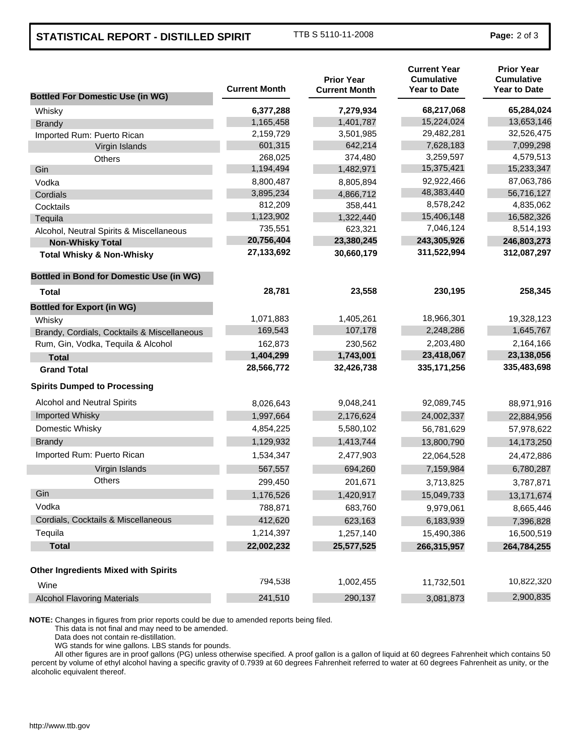## **STATISTICAL REPORT - DISTILLED SPIRIT** TTB S 5110-11-2008 **Page: 2 of 3**

| <b>Bottled For Domestic Use (in WG)</b>         | <b>Current Month</b> | <b>Prior Year</b><br><b>Current Month</b> | <b>Current Year</b><br><b>Cumulative</b><br><b>Year to Date</b> | <b>Prior Year</b><br><b>Cumulative</b><br><b>Year to Date</b> |
|-------------------------------------------------|----------------------|-------------------------------------------|-----------------------------------------------------------------|---------------------------------------------------------------|
| Whisky                                          | 6,377,288            | 7,279,934                                 | 68,217,068                                                      | 65,284,024                                                    |
| <b>Brandy</b>                                   | 1,165,458            | 1,401,787                                 | 15,224,024                                                      | 13,653,146                                                    |
| Imported Rum: Puerto Rican                      | 2,159,729            | 3,501,985                                 | 29,482,281                                                      | 32,526,475                                                    |
| Virgin Islands                                  | 601,315              | 642,214                                   | 7,628,183                                                       | 7,099,298                                                     |
| Others                                          | 268,025              | 374,480                                   | 3,259,597                                                       | 4,579,513                                                     |
| Gin                                             | 1,194,494            | 1,482,971                                 | 15,375,421                                                      | 15,233,347                                                    |
| Vodka                                           | 8,800,487            | 8,805,894                                 | 92,922,466                                                      | 87,063,786                                                    |
| Cordials                                        | 3,895,234            | 4,866,712                                 | 48,383,440                                                      | 56,716,127                                                    |
| Cocktails                                       | 812,209              | 358,441                                   | 8,578,242                                                       | 4,835,062                                                     |
| Tequila                                         | 1,123,902            | 1,322,440                                 | 15,406,148                                                      | 16,582,326                                                    |
| Alcohol, Neutral Spirits & Miscellaneous        | 735,551              | 623,321                                   | 7,046,124                                                       | 8,514,193                                                     |
| <b>Non-Whisky Total</b>                         | 20,756,404           | 23,380,245                                | 243,305,926                                                     | 246,803,273                                                   |
| <b>Total Whisky &amp; Non-Whisky</b>            | 27,133,692           | 30,660,179                                | 311,522,994                                                     | 312,087,297                                                   |
| <b>Bottled in Bond for Domestic Use (in WG)</b> |                      |                                           |                                                                 |                                                               |
| Total                                           | 28,781               | 23,558                                    | 230,195                                                         | 258,345                                                       |
| <b>Bottled for Export (in WG)</b>               |                      |                                           |                                                                 |                                                               |
| Whisky                                          | 1,071,883            | 1,405,261                                 | 18,966,301                                                      | 19,328,123                                                    |
| Brandy, Cordials, Cocktails & Miscellaneous     | 169,543              | 107,178                                   | 2,248,286                                                       | 1,645,767                                                     |
| Rum, Gin, Vodka, Tequila & Alcohol              | 162,873              | 230,562                                   | 2,203,480                                                       | 2,164,166                                                     |
| <b>Total</b>                                    | 1,404,299            | 1,743,001                                 | 23,418,067                                                      | 23,138,056                                                    |
| <b>Grand Total</b>                              | 28,566,772           | 32,426,738                                | 335, 171, 256                                                   | 335,483,698                                                   |
| <b>Spirits Dumped to Processing</b>             |                      |                                           |                                                                 |                                                               |
| Alcohol and Neutral Spirits                     | 8,026,643            | 9,048,241                                 | 92,089,745                                                      | 88,971,916                                                    |
| Imported Whisky                                 | 1,997,664            | 2,176,624                                 | 24,002,337                                                      | 22,884,956                                                    |
| Domestic Whisky                                 | 4,854,225            | 5,580,102                                 | 56,781,629                                                      | 57,978,622                                                    |
| <b>Brandy</b>                                   | 1,129,932            | 1,413,744                                 | 13,800,790                                                      | 14,173,250                                                    |
| Imported Rum: Puerto Rican                      | 1,534,347            | 2,477,903                                 | 22,064,528                                                      | 24,472,886                                                    |
| Virgin Islands                                  | 567,557              | 694,260                                   | 7,159,984                                                       | 6,780,287                                                     |
| <b>Others</b>                                   | 299,450              | 201,671                                   | 3,713,825                                                       | 3,787,871                                                     |
| Gin                                             | 1,176,526            | 1,420,917                                 | 15,049,733                                                      | 13,171,674                                                    |
| Vodka                                           | 788,871              | 683,760                                   | 9,979,061                                                       | 8,665,446                                                     |
| Cordials, Cocktails & Miscellaneous             | 412,620              | 623,163                                   | 6,183,939                                                       | 7,396,828                                                     |
| Tequila                                         | 1,214,397            | 1,257,140                                 | 15,490,386                                                      | 16,500,519                                                    |
| <b>Total</b>                                    | 22,002,232           | 25,577,525                                | 266,315,957                                                     | 264,784,255                                                   |
| <b>Other Ingredients Mixed with Spirits</b>     |                      |                                           |                                                                 |                                                               |
| Wine                                            | 794,538              | 1,002,455                                 | 11,732,501                                                      | 10,822,320                                                    |
| <b>Alcohol Flavoring Materials</b>              | 241,510              | 290,137                                   | 3,081,873                                                       | 2,900,835                                                     |

**NOTE:** Changes in figures from prior reports could be due to amended reports being filed.

This data is not final and may need to be amended.

Data does not contain re-distillation.

WG stands for wine gallons. LBS stands for pounds.

All other figures are in proof gallons (PG) unless otherwise specified. A proof gallon is a gallon of liquid at 60 degrees Fahrenheit which contains 50 percent by volume of ethyl alcohol having a specific gravity of 0.7939 at 60 degrees Fahrenheit referred to water at 60 degrees Fahrenheit as unity, or the alcoholic equivalent thereof.